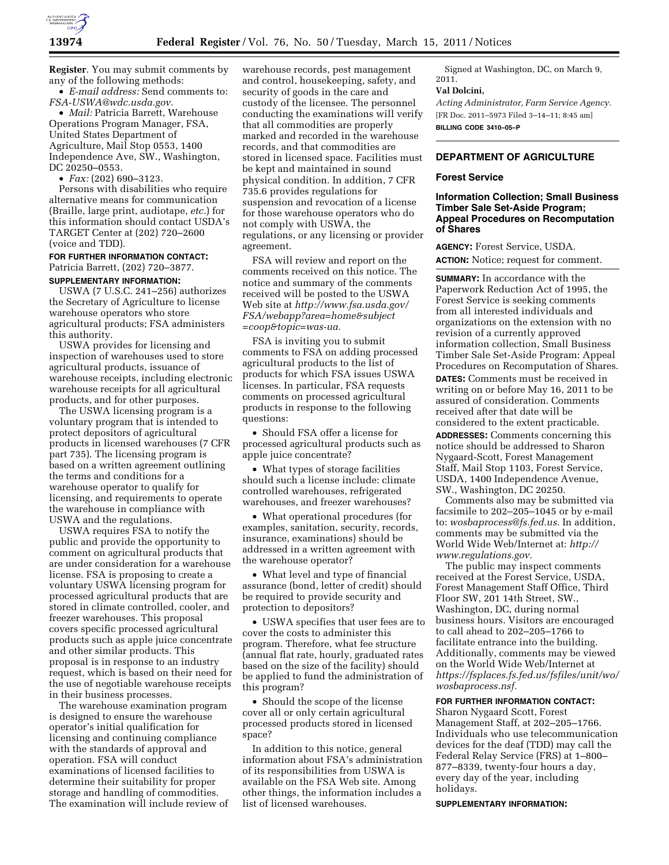

**Register**. You may submit comments by any of the following methods:

• *E-mail address:* Send comments to: *[FSA-USWA@wdc.usda.gov.](mailto:FSA-USWA@wdc.usda.gov)*  • *Mail:* Patricia Barrett, Warehouse

Operations Program Manager, FSA, United States Department of Agriculture, Mail Stop 0553, 1400 Independence Ave, SW., Washington, DC 20250–0553.

• *Fax:* (202) 690–3123.

Persons with disabilities who require alternative means for communication (Braille, large print, audiotape, *etc.*) for this information should contact USDA's TARGET Center at (202) 720–2600 (voice and TDD).

## **FOR FURTHER INFORMATION CONTACT:**  Patricia Barrett, (202) 720–3877. **SUPPLEMENTARY INFORMATION:**

USWA (7 U.S.C. 241–256) authorizes the Secretary of Agriculture to license warehouse operators who store agricultural products; FSA administers this authority.

USWA provides for licensing and inspection of warehouses used to store agricultural products, issuance of warehouse receipts, including electronic warehouse receipts for all agricultural products, and for other purposes.

The USWA licensing program is a voluntary program that is intended to protect depositors of agricultural products in licensed warehouses (7 CFR part 735). The licensing program is based on a written agreement outlining the terms and conditions for a warehouse operator to qualify for licensing, and requirements to operate the warehouse in compliance with USWA and the regulations.

USWA requires FSA to notify the public and provide the opportunity to comment on agricultural products that are under consideration for a warehouse license. FSA is proposing to create a voluntary USWA licensing program for processed agricultural products that are stored in climate controlled, cooler, and freezer warehouses. This proposal covers specific processed agricultural products such as apple juice concentrate and other similar products. This proposal is in response to an industry request, which is based on their need for the use of negotiable warehouse receipts in their business processes.

The warehouse examination program is designed to ensure the warehouse operator's initial qualification for licensing and continuing compliance with the standards of approval and operation. FSA will conduct examinations of licensed facilities to determine their suitability for proper storage and handling of commodities. The examination will include review of

warehouse records, pest management and control, housekeeping, safety, and security of goods in the care and custody of the licensee. The personnel conducting the examinations will verify that all commodities are properly marked and recorded in the warehouse records, and that commodities are stored in licensed space. Facilities must be kept and maintained in sound physical condition. In addition, 7 CFR 735.6 provides regulations for suspension and revocation of a license for those warehouse operators who do not comply with USWA, the regulations, or any licensing or provider agreement.

FSA will review and report on the comments received on this notice. The notice and summary of the comments received will be posted to the USWA Web site at *[http://www.fsa.usda.gov/](http://www.fsa.usda.gov/FSA/webapp?area=home&subject=coop&topic=was-ua) [FSA/webapp?area=home&subject](http://www.fsa.usda.gov/FSA/webapp?area=home&subject=coop&topic=was-ua) [=coop&topic=was-ua.](http://www.fsa.usda.gov/FSA/webapp?area=home&subject=coop&topic=was-ua)* 

FSA is inviting you to submit comments to FSA on adding processed agricultural products to the list of products for which FSA issues USWA licenses. In particular, FSA requests comments on processed agricultural products in response to the following questions:

• Should FSA offer a license for processed agricultural products such as apple juice concentrate?

• What types of storage facilities should such a license include: climate controlled warehouses, refrigerated warehouses, and freezer warehouses?

• What operational procedures (for examples, sanitation, security, records, insurance, examinations) should be addressed in a written agreement with the warehouse operator?

• What level and type of financial assurance (bond, letter of credit) should be required to provide security and protection to depositors?

• USWA specifies that user fees are to cover the costs to administer this program. Therefore, what fee structure (annual flat rate, hourly, graduated rates based on the size of the facility) should be applied to fund the administration of this program?

• Should the scope of the license cover all or only certain agricultural processed products stored in licensed space?

In addition to this notice, general information about FSA's administration of its responsibilities from USWA is available on the FSA Web site. Among other things, the information includes a list of licensed warehouses.

Signed at Washington, DC, on March 9, 2011.

#### **Val Dolcini,**

*Acting Administrator, Farm Service Agency.*  [FR Doc. 2011–5973 Filed 3–14–11; 8:45 am] **BILLING CODE 3410–05–P** 

# **DEPARTMENT OF AGRICULTURE**

## **Forest Service**

# **Information Collection; Small Business Timber Sale Set-Aside Program; Appeal Procedures on Recomputation of Shares**

**AGENCY:** Forest Service, USDA. **ACTION:** Notice; request for comment.

**SUMMARY:** In accordance with the Paperwork Reduction Act of 1995, the Forest Service is seeking comments from all interested individuals and organizations on the extension with no revision of a currently approved information collection, Small Business Timber Sale Set-Aside Program: Appeal Procedures on Recomputation of Shares. **DATES:** Comments must be received in writing on or before May 16, 2011 to be assured of consideration. Comments received after that date will be considered to the extent practicable.

**ADDRESSES:** Comments concerning this notice should be addressed to Sharon Nygaard-Scott, Forest Management Staff, Mail Stop 1103, Forest Service, USDA, 1400 Independence Avenue, SW., Washington, DC 20250.

Comments also may be submitted via facsimile to 202–205–1045 or by e-mail to: *[wosbaprocess@fs.fed.us.](mailto:wosbaprocess@fs.fed.us)* In addition, comments may be submitted via the World Wide Web/Internet at: *[http://](http://www.regulations.gov)  [www.regulations.gov.](http://www.regulations.gov)* 

The public may inspect comments received at the Forest Service, USDA, Forest Management Staff Office, Third Floor SW, 201 14th Street, SW., Washington, DC, during normal business hours. Visitors are encouraged to call ahead to 202–205–1766 to facilitate entrance into the building. Additionally, comments may be viewed on the World Wide Web/Internet at *[https://fsplaces.fs.fed.us/fsfiles/unit/wo/](https://fsplaces.fs.fed.us/fsfiles/unit/wo/wosbaprocess.nsf) [wosbaprocess.nsf.](https://fsplaces.fs.fed.us/fsfiles/unit/wo/wosbaprocess.nsf)* 

# **FOR FURTHER INFORMATION CONTACT:**

Sharon Nygaard Scott, Forest Management Staff, at 202–205–1766. Individuals who use telecommunication devices for the deaf (TDD) may call the Federal Relay Service (FRS) at 1–800– 877–8339, twenty-four hours a day, every day of the year, including holidays.

#### **SUPPLEMENTARY INFORMATION:**